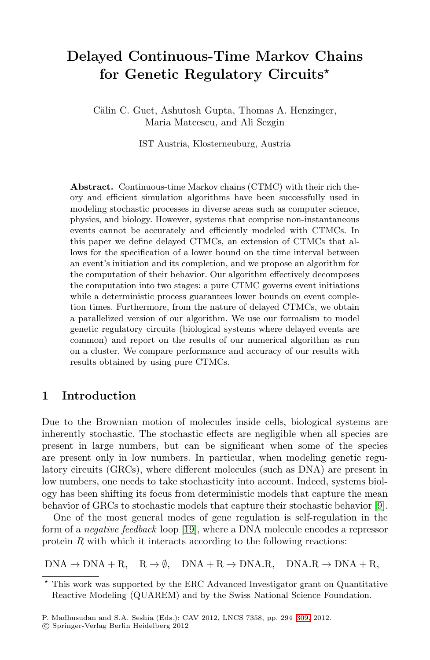# **Delayed Continuous-Time Markov Chains for Genetic Regulatory Circuits***-*

Călin C. Guet, Ashutosh Gupta, Thomas A. Henzinger, Maria Mateescu, and Ali Sezgin

IST Austria, Klosterneuburg, Austria

**Abstract.** Continuous-time Markov chains (CTMC) with their rich theory and efficient simulation algorithms have been successfully used in modeling stochastic processes in diverse areas such as computer science, physics, and biology. However, systems that comprise non-instantaneous events cannot be accurately and efficiently modeled with CTMCs. In this paper we define delayed CTMCs, an extension of CTMCs that allows for the specification of a lower bound on the time interval between an event's initiation and its completion, and we propose an algorithm for the computation of their behavior. Our algorithm effectively decomposes the computation into two stages: a pure CTMC governs event initiations while a deterministic process guarantees lower bounds on event completion times. Furthermore, from the nature of delayed CTMCs, we obtain a parallelized version of our algorithm. We use our formalism to model genetic regulatory circuits (biological systems where delayed events are common) and report on the results of our numerical algorithm as run on a cluster. We compare performance and accuracy of our results with results obtained by using pure CTMCs.

### **1 Introduction**

Due to the Brownian motion of molecules inside cells, biological systems are inherently stochastic. The stochastic effects are negligible when all species are present in large numbers, but can be significant when some of the species are present only in low numbers. In particular, when modeling genetic regulatory circuits (GRCs), where different molecules (such as DNA) are present in low numbers, one needs to take stochasticity into account. Indeed, systems biology has been shifting its focus from deterministic models that capture the mean behavior of GRCs to stochastic models that capture their stochastic behavior [\[9\]](#page-15-0).

One of the most general modes of gene regulation is self-regulation in the form of a *negative feedback* loop [\[19\]](#page-15-1), where a DNA molecule encodes a repressor protein  $R$  with which it interacts according to the following reactions:

 $DNA \rightarrow DNA + R$ ,  $R \rightarrow \emptyset$ ,  $DNA + R \rightarrow DNA$ ,  $DNA$ ,  $DNA$ ,  $DNA + R$ ,

<sup>\*</sup> This work was supported by the ERC Advanced Investigator grant on Quantitative Reactive Modeling (QUAREM) and by the Swiss National Science Foundation.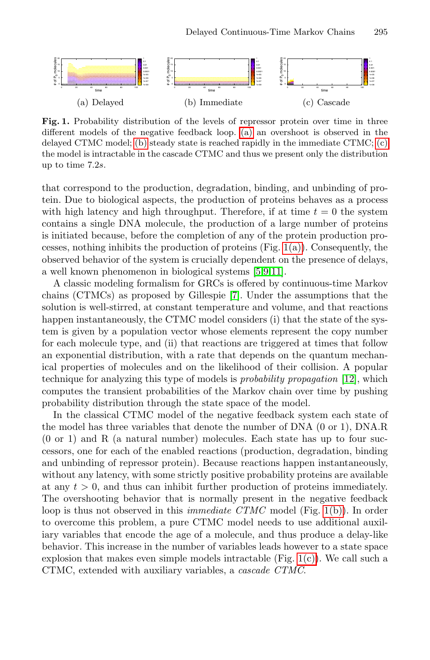<span id="page-1-3"></span><span id="page-1-2"></span><span id="page-1-1"></span><span id="page-1-0"></span>

**Fig. 1.** Probability distribution of the levels of repressor protein over time in three different models of the negative feedback loop. [\(a\)](#page-1-0) an overshoot is observed in the delayed CTMC model; [\(b\)](#page-1-1) steady state is reached rapidly in the immediate CTMC; [\(c\)](#page-1-2) the model is intractable in the cascade CTMC and thus we present only the distribution up to time 7.2s.

that correspond to the production, degradation, binding, and unbinding of protein. Due to biological aspects, the production of proteins behaves as a process with high latency and high throughput. Therefore, if at time  $t = 0$  the system contains a single DNA molecule, the production of a large number of proteins is initiated because, before the completion of any of the protein production processes, nothing inhibits the production of proteins  $(Fig, 1(a))$  $(Fig, 1(a))$ . Consequently, the observed behavior of the system is crucially dependent on the presence of delays, a well known phenomenon in biological systems [\[5,](#page-15-3)[9](#page-15-0)[,11\]](#page-15-4).

A classic modeling formalism for GRCs is offered by continuous-time Markov chains (CTMCs) as proposed by Gillespie [\[7\]](#page-15-5). Under the assumptions that the solution is well-stirred, at constant temperature and volume, and that reactions happen instantaneously, the CTMC model considers (i) that the state of the system is given by a population vector whose elements represent the copy number for each molecule type, and (ii) that reactions are triggered at times that follow an exponential distribution, with a rate that depends on the quantum mechanical properties of molecules and on the likelihood of their collision. A popular technique for analyzing this type of models is *probability propagation* [\[12\]](#page-15-6), which computes the transient probabilities of the Markov chain over time by pushing probability distribution through the state space of the model.

In the classical CTMC model of the negative feedback system each state of the model has three variables that denote the number of DNA (0 or 1), DNA.R (0 or 1) and R (a natural number) molecules. Each state has up to four successors, one for each of the enabled reactions (production, degradation, binding and unbinding of repressor protein). Because reactions happen instantaneously, without any latency, with some strictly positive probability proteins are available at any  $t > 0$ , and thus can inhibit further production of proteins immediately. The overshooting behavior that is normally present in the negative feedback loop is thus not observed in this *immediate CTMC* model (Fig. [1\(b\)\)](#page-1-1). In order to overcome this problem, a pure CTMC model needs to use additional auxiliary variables that encode the age of a molecule, and thus produce a delay-like behavior. This increase in the number of variables leads however to a state space explosion that makes even simple models intractable (Fig.  $1(c)$ ). We call such a CTMC, extended with auxiliary variables, a *cascade CTMC*.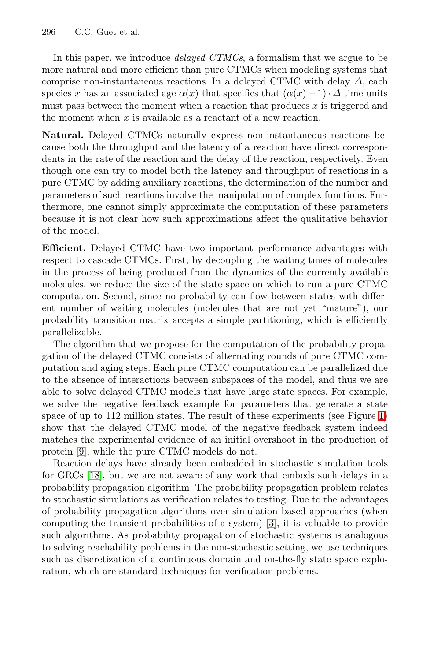In this paper, we introduce *delayed CTMCs*, a formalism that we argue to be more natural and more efficient than pure CTMCs when modeling systems that comprise non-instantaneous reactions. In a delayed CTMC with delay  $\Delta$ , each species x has an associated age  $\alpha(x)$  that specifies that  $(\alpha(x) - 1) \cdot \Delta$  time units must pass between the moment when a reaction that produces x is triggered and the moment when  $x$  is available as a reactant of a new reaction.

**Natural.** Delayed CTMCs naturally express non-instantaneous reactions because both the throughput and the latency of a reaction have direct correspondents in the rate of the reaction and the delay of the reaction, respectively. Even though one can try to model both the latency and throughput of reactions in a pure CTMC by adding auxiliary reactions, the determination of the number and parameters of such reactions involve the manipulation of complex functions. Furthermore, one cannot simply approximate the computation of these parameters because it is not clear how such approximations affect the qualitative behavior of the model.

**Efficient.** Delayed CTMC have two important performance advantages with respect to cascade CTMCs. First, by decoupling the waiting times of molecules in the process of being produced from the dynamics of the currently available molecules, we reduce the size of the state space on which to run a pure CTMC computation. Second, since no probability can flow between states with different number of waiting molecules (molecules that are not yet "mature"), our probability transition matrix accepts a simple partitioning, which is efficiently parallelizable.

The algorithm that we propose for the computation of the probability propagation of the delayed CTMC consists of alternating rounds of pure CTMC computation and aging steps. Each pure CTMC computation can be parallelized due to the absence of interactions between subspaces of the model, and thus we are able to solve delayed CTMC models that have large state spaces. For example, we solve the negative feedback example for parameters that generate a state space of up to 112 million states. The result of these experiments (see Figure [1\)](#page-1-3) show that the delayed CTMC model of the negative feedback system indeed matches the experimental evidence of an initial overshoot in the production of protein [\[9\]](#page-15-0), while the pure CTMC models do not.

Reaction delays have already been embedded in stochastic simulation tools for GRCs [\[18\]](#page-15-7), but we are not aware of any work that embeds such delays in a probability propagation algorithm. The probability propagation problem relates to stochastic simulations as verification relates to testing. Due to the advantages of probability propagation algorithms over simulation based approaches (when computing the transient probabilities of a system) [\[3\]](#page-15-8), it is valuable to provide such algorithms. As probability propagation of stochastic systems is analogous to solving reachability problems in the non-stochastic setting, we use techniques such as discretization of a continuous domain and on-the-fly state space exploration, which are standard techniques for verification problems.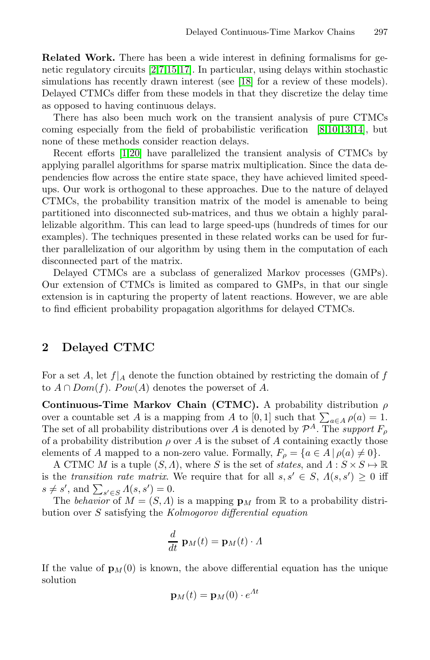**Related Work.** There has been a wide interest in defining formalisms for genetic regulatory circuits [\[2,](#page-14-0)[7,](#page-15-5)[15,](#page-15-9)[17\]](#page-15-10). In particular, using delays within stochastic simulations has recently drawn interest (see [\[18\]](#page-15-7) for a review of these models). Delayed CTMCs differ from these models in that they discretize the delay time as opposed to having continuous delays.

There has also been much work on the transient analysis of pure CTMCs coming especially from the field of probabilistic verification [\[8,](#page-15-11)[10](#page-15-12)[,13,](#page-15-13)[14\]](#page-15-14), but none of these methods consider reaction delays.

Recent efforts [\[1,](#page-14-1)[20\]](#page-15-15) have parallelized the transient analysis of CTMCs by applying parallel algorithms for sparse matrix multiplication. Since the data dependencies flow across the entire state space, they have achieved limited speedups. Our work is orthogonal to these approaches. Due to the nature of delayed CTMCs, the probability transition matrix of the model is amenable to being partitioned into disconnected sub-matrices, and thus we obtain a highly parallelizable algorithm. This can lead to large speed-ups (hundreds of times for our examples). The techniques presented in these related works can be used for further parallelization of our algorithm by using them in the computation of each disconnected part of the matrix.

Delayed CTMCs are a subclass of generalized Markov processes (GMPs). Our extension of CTMCs is limited as compared to GMPs, in that our single extension is in capturing the property of latent reactions. However, we are able to find efficient probability propagation algorithms for delayed CTMCs.

### **2 Delayed CTMC**

For a set A, let  $f|_A$  denote the function obtained by restricting the domain of f to  $A \cap Dom(f)$ .  $Pow(A)$  denotes the powerset of A.

**Continuous-Time Markov Chain (CTMC).** A probability distribution  $\rho$ over a countable set A is a mapping from A to [0, 1] such that  $\sum_{a \in A} \rho(a) = 1$ . The set of all probability distributions over A is denoted by  $\mathcal{P}^A$ . The *support*  $F_o$ of a probability distribution  $\rho$  over A is the subset of A containing exactly those elements of A mapped to a non-zero value. Formally,  $F_{\rho} = \{a \in A \mid \rho(a) \neq 0\}.$ 

A CTMC M is a tuple  $(S, \Lambda)$ , where S is the set of *states*, and  $\Lambda: S \times S \mapsto \mathbb{R}$ is the *transition rate matrix*. We require that for all  $s, s' \in S$ ,  $\Lambda(s, s') \geq 0$  iff  $s \neq s'$ , and  $\sum_{s' \in S} \Lambda(s, s') = 0$ .

The *behavior* of  $M = (S, \Lambda)$  is a mapping  $\mathbf{p}_M$  from R to a probability distribution over S satisfying the *Kolmogorov differential equation*

$$
\frac{d}{dt} \; \mathbf{p}_M(t) = \mathbf{p}_M(t) \cdot \Lambda
$$

If the value of  $\mathbf{p}_M(0)$  is known, the above differential equation has the unique solution

$$
\mathbf{p}_M(t) = \mathbf{p}_M(0) \cdot e^{At}
$$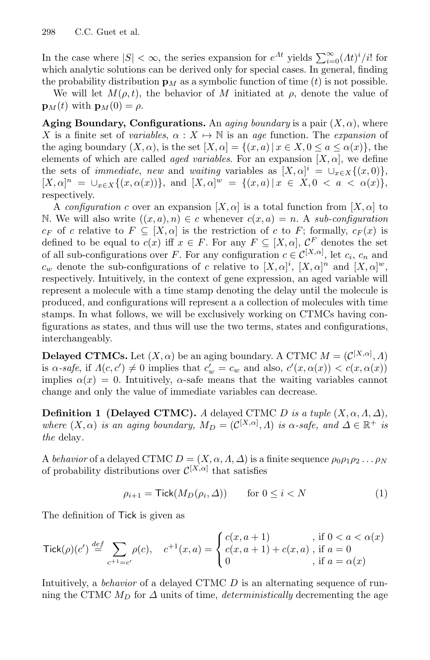In the case where  $|S| < \infty$ , the series expansion for  $e^{At}$  yields  $\sum_{i=0}^{\infty} (At)^i/i!$  for which analytic solutions can be derived only for special cases. In general, finding the probability distribution  $\mathbf{p}_M$  as a symbolic function of time (t) is not possible.

We will let  $M(\rho, t)$ , the behavior of M initiated at  $\rho$ , denote the value of  $\mathbf{p}_{M}(t)$  with  $\mathbf{p}_{M}(0) = \rho$ .

**Aging Boundary, Configurations.** An *aging boundary* is a pair  $(X, \alpha)$ , where X is a finite set of *variables*,  $\alpha : X \mapsto \mathbb{N}$  is an *age* function. The *expansion* of the aging boundary  $(X, \alpha)$ , is the set  $[X, \alpha] = \{(x, a) | x \in X, 0 \le a \le \alpha(x)\}\)$ , the elements of which are called *aged variables*. For an expansion  $[X, \alpha]$ , we define the sets of *immediate*, *new* and *waiting* variables as  $[X, \alpha]^i = \cup_{x \in X} \{(x, 0)\},$  $[X, \alpha]^n = \bigcup_{x \in X} \{ (x, \alpha(x)) \},$  and  $[X, \alpha]^w = \{ (x, a) \mid x \in X, 0 \le a \le \alpha(x) \},$ respectively.

A *configuration* c over an expansion  $[X, \alpha]$  is a total function from  $[X, \alpha]$  to N. We will also write  $((x, a), n) \in c$  whenever  $c(x, a) = n$ . A *sub-configuration*  $c_F$  of c relative to  $F \subseteq [X, \alpha]$  is the restriction of c to F; formally,  $c_F(x)$  is defined to be equal to  $c(x)$  iff  $x \in F$ . For any  $F \subseteq [X, \alpha]$ ,  $C^F$  denotes the set of all sub-configurations over F. For any configuration  $c \in \mathcal{C}^{[X,\alpha]}$ , let  $c_i$ ,  $c_n$  and  $c_w$  denote the sub-configurations of c relative to  $[X, \alpha]^i$ ,  $[X, \alpha]^n$  and  $[X, \alpha]^w$ , respectively. Intuitively, in the context of gene expression, an aged variable will represent a molecule with a time stamp denoting the delay until the molecule is produced, and configurations will represent a a collection of molecules with time stamps. In what follows, we will be exclusively working on CTMCs having configurations as states, and thus will use the two terms, states and configurations, interchangeably.

**Delayed CTMCs.** Let  $(X, \alpha)$  be an aging boundary. A CTMC  $M = (C^{[X,\alpha]}, \Lambda)$ is  $\alpha$ -safe, if  $\Lambda(c, c') \neq 0$  implies that  $c'_w = c_w$  and also,  $c'(x, \alpha(x)) < c(x, \alpha(x))$ implies  $\alpha(x) = 0$ . Intuitively,  $\alpha$ -safe means that the waiting variables cannot change and only the value of immediate variables can decrease.

**Definition 1 (Delayed CTMC).** *A* delayed CTMC D *is a tuple*  $(X, \alpha, \Lambda, \Delta)$ *, where*  $(X, \alpha)$  *is an aging boundary,*  $M_D = (\mathcal{C}^{[X,\alpha]}, \Lambda)$  *is*  $\alpha$ -safe, and  $\Delta \in \mathbb{R}^+$  *is the* delay*.*

A *behavior* of a delayed CTMC  $D = (X, \alpha, \Lambda, \Delta)$  is a finite sequence  $\rho_0 \rho_1 \rho_2 \ldots \rho_N$ of probability distributions over  $\mathcal{C}^{[X,\alpha]}$  that satisfies

<span id="page-4-0"></span>
$$
\rho_{i+1} = \mathsf{Tick}(M_D(\rho_i, \Delta)) \qquad \text{for } 0 \le i < N \tag{1}
$$

The definition of Tick is given as

$$
\text{Tick}(\rho)(c') \stackrel{def}{=} \sum_{c^{+1} = c'} \rho(c), \quad c^{+1}(x, a) = \begin{cases} c(x, a+1) & \text{, if } 0 < a < \alpha(x) \\ c(x, a+1) + c(x, a) & \text{, if } a = 0 \\ 0 & \text{, if } a = \alpha(x) \end{cases}
$$

Intuitively, a *behavior* of a delayed CTMC D is an alternating sequence of running the CTMC  $M_D$  for  $\Delta$  units of time, *deterministically* decrementing the age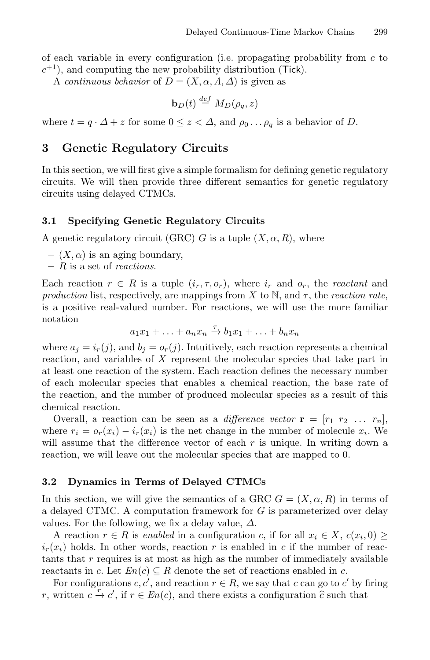of each variable in every configuration (i.e. propagating probability from  $c$  to  $c^{+1}$ ), and computing the new probability distribution (Tick).

A *continuous behavior* of  $D = (X, \alpha, A, \Delta)$  is given as

$$
\mathbf{b}_D(t) \stackrel{def}{=} M_D(\rho_q, z)
$$

where  $t = q \cdot \Delta + z$  for some  $0 \le z < \Delta$ , and  $\rho_0 \dots \rho_q$  is a behavior of D.

## **3 Genetic Regulatory Circuits**

In this section, we will first give a simple formalism for defining genetic regulatory circuits. We will then provide three different semantics for genetic regulatory circuits using delayed CTMCs.

### **3.1 Specifying Genetic Regulatory Circuits**

A genetic regulatory circuit (GRC) G is a tuple  $(X, \alpha, R)$ , where

- $(X, \alpha)$  is an aging boundary,
- **–** R is a set of *reactions*.

Each reaction  $r \in R$  is a tuple  $(i_r, \tau, o_r)$ , where  $i_r$  and  $o_r$ , the *reactant* and *production* list, respectively, are mappings from X to N, and  $\tau$ , the *reaction rate*, is a positive real-valued number. For reactions, we will use the more familiar notation

$$
a_1x_1 + \ldots + a_nx_n \xrightarrow{\tau} b_1x_1 + \ldots + b_nx_n
$$

where  $a_j = i_r(j)$ , and  $b_j = o_r(j)$ . Intuitively, each reaction represents a chemical reaction, and variables of X represent the molecular species that take part in at least one reaction of the system. Each reaction defines the necessary number of each molecular species that enables a chemical reaction, the base rate of the reaction, and the number of produced molecular species as a result of this chemical reaction.

Overall, a reaction can be seen as a *difference vector*  $\mathbf{r} = [r_1 \ r_2 \ \dots \ r_n],$ where  $r_i = o_r(x_i) - i_r(x_i)$  is the net change in the number of molecule  $x_i$ . We will assume that the difference vector of each  $r$  is unique. In writing down a reaction, we will leave out the molecular species that are mapped to 0.

### **3.2 Dynamics in Terms of Delayed CTMCs**

In this section, we will give the semantics of a GRC  $G = (X, \alpha, R)$  in terms of a delayed CTMC. A computation framework for G is parameterized over delay values. For the following, we fix a delay value,  $\Delta$ .

A reaction  $r \in R$  is *enabled* in a configuration c, if for all  $x_i \in X$ ,  $c(x_i, 0) \geq$  $i_r(x_i)$  holds. In other words, reaction r is enabled in c if the number of reactants that  $r$  requires is at most as high as the number of immediately available reactants in c. Let  $En(c) \subseteq R$  denote the set of reactions enabled in c.

For configurations  $c, c'$ , and reaction  $r \in R$ , we say that c can go to c' by firing r, written  $c \xrightarrow{r} c'$ , if  $r \in En(c)$ , and there exists a configuration  $\hat{c}$  such that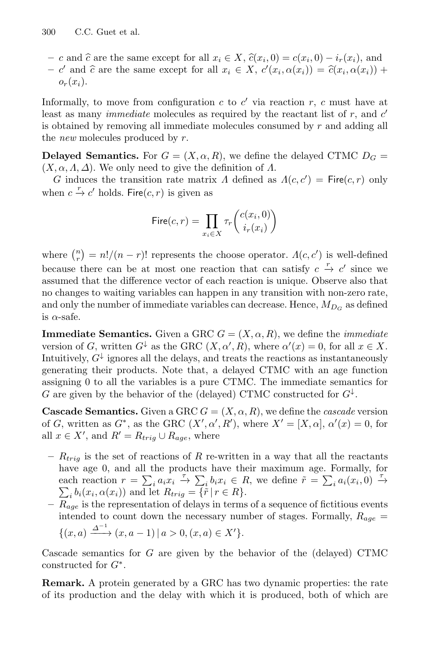- c and  $\hat{c}$  are the same except for all  $x_i \in X$ ,  $\hat{c}(x_i, 0) = c(x_i, 0) i_r(x_i)$ , and
- $-e'$  and  $\hat{c}$  are the same except for all  $x_i \in X$ ,  $c'(x_i, \alpha(x_i)) = \hat{c}(x_i, \alpha(x_i)) +$  $o_r(x_i)$ .

Informally, to move from configuration c to  $c'$  via reaction r, c must have at least as many *immediate* molecules as required by the reactant list of  $r$ , and  $c'$ is obtained by removing all immediate molecules consumed by r and adding all the *new* molecules produced by r.

**Delayed Semantics.** For  $G = (X, \alpha, R)$ , we define the delayed CTMC  $D_G$  $(X, \alpha, \Lambda, \Delta)$ . We only need to give the definition of  $\Lambda$ .

G induces the transition rate matrix  $\Lambda$  defined as  $\Lambda(c, c') =$  Fire $(c, r)$  only when  $c \stackrel{r}{\rightarrow} c'$  holds. Fire $(c, r)$  is given as

$$
\mathsf{Fire}(c,r) = \prod_{x_i \in X} \tau_r \binom{c(x_i,0)}{i_r(x_i)}
$$

where  $\binom{n}{r} = n!/(n-r)!$  represents the choose operator.  $\Lambda(c, c')$  is well-defined because there can be at most one reaction that can satisfy  $c \stackrel{r}{\rightarrow} c'$  since we assumed that the difference vector of each reaction is unique. Observe also that no changes to waiting variables can happen in any transition with non-zero rate, and only the number of immediate variables can decrease. Hence,  $M_{D_G}$  as defined is  $\alpha$ -safe.

**Immediate Semantics.** Given a GRC  $G = (X, \alpha, R)$ , we define the *immediate* version of G, written  $G^{\downarrow}$  as the GRC  $(X, \alpha', R)$ , where  $\alpha'(x) = 0$ , for all  $x \in X$ . Intuitively,  $G^{\downarrow}$  ignores all the delays, and treats the reactions as instantaneously generating their products. Note that, a delayed CTMC with an age function assigning 0 to all the variables is a pure CTMC. The immediate semantics for G are given by the behavior of the (delayed) CTMC constructed for  $G^{\downarrow}$ .

**Cascade Semantics.** Given a GRC  $G = (X, \alpha, R)$ , we define the *cascade* version of G, written as  $G^*$ , as the GRC  $(X', \alpha', R')$ , where  $X' = [X, \alpha], \alpha'(x) = 0$ , for all  $x \in X'$ , and  $R' = R_{trig} \cup R_{age}$ , where

- $R_{trig}$  is the set of reactions of R re-written in a way that all the reactants have age 0, and all the products have their maximum age. Formally, for each reaction  $r = \sum_i a_i x_i \stackrel{\tau}{\to} \sum_i b_i x_i \in R$ , we define  $\tilde{r} = \sum_i a_i (x_i, 0) \stackrel{\tau}{\to}$  $\sum_i b_i(x_i, \alpha(x_i))$  and let  $R_{trig} = {\bar{\mathfrak{f}}} \tilde{r} | r \in R$ .
- **–** Rage is the representation of delays in terms of a sequence of fictitious events intended to count down the necessary number of stages. Formally,  $R_{age} =$  $\{(x, a) \xrightarrow{\Delta^{-1}} (x, a-1) | a > 0, (x, a) \in X'\}.$

Cascade semantics for G are given by the behavior of the (delayed) CTMC constructed for  $G^*$ .

**Remark.** A protein generated by a GRC has two dynamic properties: the rate of its production and the delay with which it is produced, both of which are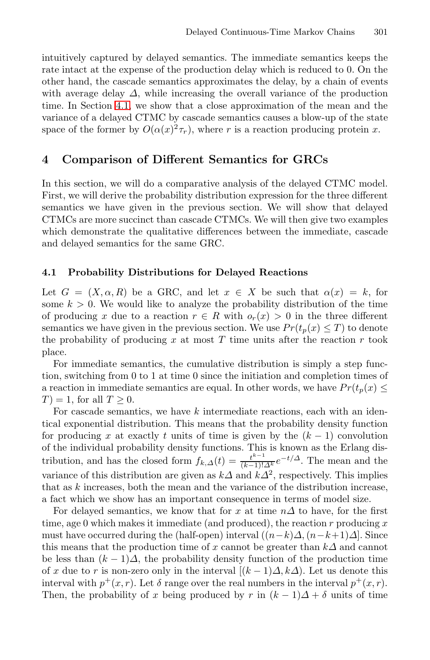intuitively captured by delayed semantics. The immediate semantics keeps the rate intact at the expense of the production delay which is reduced to 0. On the other hand, the cascade semantics approximates the delay, by a chain of events with average delay  $\Delta$ , while increasing the overall variance of the production time. In Section [4.1,](#page-7-0) we show that a close approximation of the mean and the variance of a delayed CTMC by cascade semantics causes a blow-up of the state space of the former by  $O(\alpha(x)^2 \tau_r)$ , where r is a reaction producing protein x.

### <span id="page-7-0"></span>**4 Comparison of Different Semantics for GRCs**

In this section, we will do a comparative analysis of the delayed CTMC model. First, we will derive the probability distribution expression for the three different semantics we have given in the previous section. We will show that delayed CTMCs are more succinct than cascade CTMCs. We will then give two examples which demonstrate the qualitative differences between the immediate, cascade and delayed semantics for the same GRC.

#### **4.1 Probability Distributions for Delayed Reactions**

Let  $G = (X, \alpha, R)$  be a GRC, and let  $x \in X$  be such that  $\alpha(x) = k$ , for some  $k > 0$ . We would like to analyze the probability distribution of the time of producing x due to a reaction  $r \in R$  with  $o_r(x) > 0$  in the three different semantics we have given in the previous section. We use  $Pr(t_p(x) \leq T)$  to denote the probability of producing  $x$  at most  $T$  time units after the reaction  $r$  took place.

For immediate semantics, the cumulative distribution is simply a step function, switching from 0 to 1 at time 0 since the initiation and completion times of a reaction in immediate semantics are equal. In other words, we have  $Pr(t_p(x) \leq$  $T$  = 1, for all  $T > 0$ .

For cascade semantics, we have k intermediate reactions, each with an identical exponential distribution. This means that the probability density function for producing x at exactly t units of time is given by the  $(k-1)$  convolution of the individual probability density functions. This is known as the Erlang distribution, and has the closed form  $f_{k,\Delta}(t) = \frac{t^{k-1}}{(k-1)! \Delta_k^k} e^{-t/\Delta}$ . The mean and the variance of this distribution are given as  $k\Delta$  and  $k\Delta^2$ , respectively. This implies that as  $k$  increases, both the mean and the variance of the distribution increase, a fact which we show has an important consequence in terms of model size.

For delayed semantics, we know that for x at time  $n\Delta$  to have, for the first time, age 0 which makes it immediate (and produced), the reaction r producing  $x$ must have occurred during the (half-open) interval  $((n-k)\Delta, (n-k+1)\Delta]$ . Since this means that the production time of x cannot be greater than  $k\Delta$  and cannot be less than  $(k-1)\Delta$ , the probability density function of the production time of x due to r is non-zero only in the interval  $[(k-1)\Delta, k\Delta)$ . Let us denote this interval with  $p^+(x, r)$ . Let  $\delta$  range over the real numbers in the interval  $p^+(x, r)$ . Then, the probability of x being produced by r in  $(k-1)\Delta + \delta$  units of time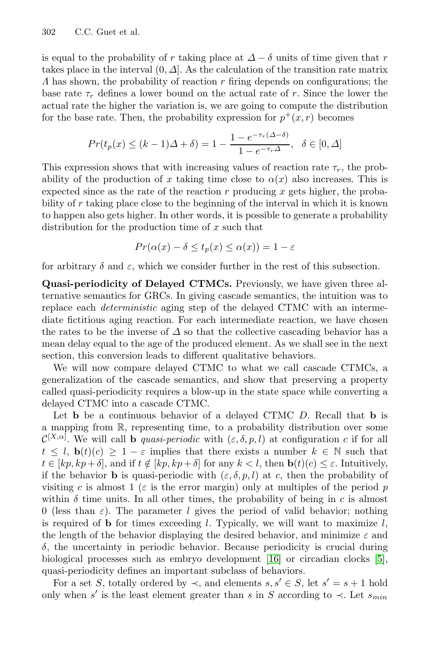is equal to the probability of r taking place at  $\Delta - \delta$  units of time given that r takes place in the interval  $(0, \Delta)$ . As the calculation of the transition rate matrix  $\Lambda$  has shown, the probability of reaction r firing depends on configurations; the base rate  $\tau_r$  defines a lower bound on the actual rate of r. Since the lower the actual rate the higher the variation is, we are going to compute the distribution for the base rate. Then, the probability expression for  $p^+(x, r)$  becomes

$$
Pr(t_p(x) \le (k-1)\Delta + \delta) = 1 - \frac{1 - e^{-\tau_r(\Delta - \delta)}}{1 - e^{-\tau_r\Delta}}, \quad \delta \in [0, \Delta]
$$

This expression shows that with increasing values of reaction rate  $\tau_r$ , the probability of the production of x taking time close to  $\alpha(x)$  also increases. This is expected since as the rate of the reaction  $r$  producing  $x$  gets higher, the probability of r taking place close to the beginning of the interval in which it is known to happen also gets higher. In other words, it is possible to generate a probability distribution for the production time of  $x$  such that

$$
Pr(\alpha(x) - \delta \le t_p(x) \le \alpha(x)) = 1 - \varepsilon
$$

for arbitrary  $\delta$  and  $\varepsilon$ , which we consider further in the rest of this subsection.

**Quasi-periodicity of Delayed CTMCs.** Previously, we have given three alternative semantics for GRCs. In giving cascade semantics, the intuition was to replace each *deterministic* aging step of the delayed CTMC with an intermediate fictitious aging reaction. For each intermediate reaction, we have chosen the rates to be the inverse of  $\Delta$  so that the collective cascading behavior has a mean delay equal to the age of the produced element. As we shall see in the next section, this conversion leads to different qualitative behaviors.

We will now compare delayed CTMC to what we call cascade CTMCs, a generalization of the cascade semantics, and show that preserving a property called quasi-periodicity requires a blow-up in the state space while converting a delayed CTMC into a cascade CTMC.

Let **b** be a continuous behavior of a delayed CTMC D. Recall that **b** is a mapping from R, representing time, to a probability distribution over some  $\mathcal{C}^{[X,\alpha]}$ . We will call **b** *quasi-periodic* with  $(\varepsilon,\delta,p,l)$  at configuration c if for all  $t \leq l$ ,  $\mathbf{b}(t)(c) \geq 1 - \varepsilon$  implies that there exists a number  $k \in \mathbb{N}$  such that  $t \in [kp, kp+\delta]$ , and if  $t \notin [kp, kp+\delta]$  for any  $k < l$ , then  $\mathbf{b}(t)(c) \leq \varepsilon$ . Intuitively, if the behavior **b** is quasi-periodic with  $(\varepsilon, \delta, p, l)$  at c, then the probability of visiting c is almost 1 ( $\varepsilon$  is the error margin) only at multiples of the period p within  $\delta$  time units. In all other times, the probability of being in c is almost 0 (less than  $\varepsilon$ ). The parameter l gives the period of valid behavior; nothing is required of **b** for times exceeding l. Typically, we will want to maximize  $l$ , the length of the behavior displaying the desired behavior, and minimize  $\varepsilon$  and  $\delta$ , the uncertainty in periodic behavior. Because periodicity is crucial during biological processes such as embryo development [\[16\]](#page-15-16) or circadian clocks [\[5\]](#page-15-3), quasi-periodicity defines an important subclass of behaviors.

For a set S, totally ordered by  $\prec$ , and elements  $s, s' \in S$ , let  $s' = s + 1$  hold only when s' is the least element greater than s in S according to  $\prec$ . Let  $s_{min}$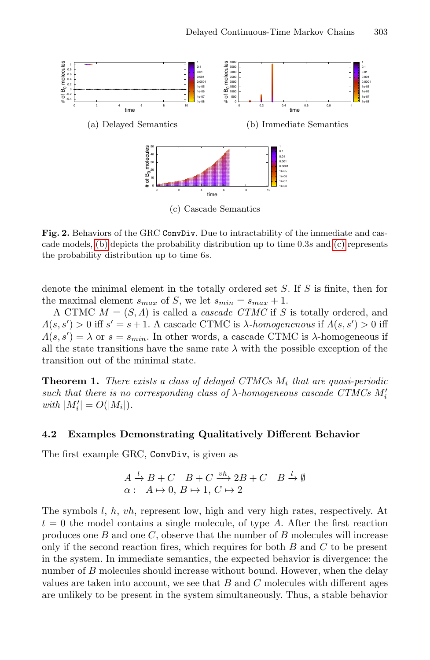<span id="page-9-3"></span><span id="page-9-2"></span><span id="page-9-1"></span><span id="page-9-0"></span>

**Fig. 2.** Behaviors of the GRC ConvDiv. Due to intractability of the immediate and cascade models, [\(b\)](#page-9-0) depicts the probability distribution up to time 0.3s and [\(c\)](#page-9-1) represents the probability distribution up to time 6s.

denote the minimal element in the totally ordered set S. If S is finite, then for the maximal element  $s_{max}$  of S, we let  $s_{min} = s_{max} + 1$ .

A CTMC  $M = (S, \Lambda)$  is called a *cascade CTMC* if S is totally ordered, and  $\Lambda(s, s') > 0$  iff  $s' = s + 1$ . A cascade CTMC is  $\lambda$ -homogenenous if  $\Lambda(s, s') > 0$  iff  $\Lambda(s, s') = \lambda$  or  $s = s_{min}$ . In other words, a cascade CTMC is  $\lambda$ -homogeneous if all the state transitions have the same rate  $\lambda$  with the possible exception of the transition out of the minimal state.

**Theorem 1.** *There exists a class of delayed CTMCs* M<sup>i</sup> *that are quasi-periodic such that there is no corresponding class of* λ*-homogeneous cascade CTMCs* M i  $with \, |M'_i| = O(|M_i|).$ 

#### **4.2 Examples Demonstrating Qualitatively Different Behavior**

The first example GRC, ConvDiv, is given as

$$
A \xrightarrow{l} B + C \quad B + C \xrightarrow{vh} 2B + C \quad B \xrightarrow{l} \emptyset
$$
  

$$
\alpha: A \mapsto 0, B \mapsto 1, C \mapsto 2
$$

The symbols l, h, vh, represent low, high and very high rates, respectively. At  $t = 0$  the model contains a single molecule, of type A. After the first reaction produces one  $B$  and one  $C$ , observe that the number of  $B$  molecules will increase only if the second reaction fires, which requires for both  $B$  and  $C$  to be present in the system. In immediate semantics, the expected behavior is divergence: the number of B molecules should increase without bound. However, when the delay values are taken into account, we see that  $B$  and  $C$  molecules with different ages are unlikely to be present in the system simultaneously. Thus, a stable behavior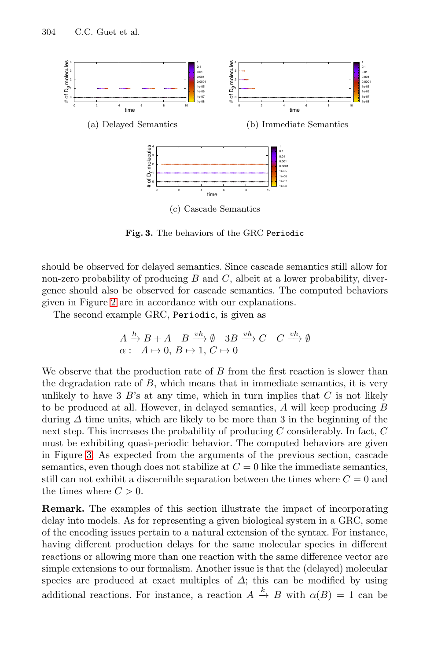<span id="page-10-3"></span><span id="page-10-1"></span>

<span id="page-10-2"></span><span id="page-10-0"></span>**Fig. 3.** The behaviors of the GRC Periodic

should be observed for delayed semantics. Since cascade semantics still allow for non-zero probability of producing  $B$  and  $C$ , albeit at a lower probability, divergence should also be observed for cascade semantics. The computed behaviors given in Figure [2](#page-9-2) are in accordance with our explanations.

The second example GRC, Periodic, is given as

$$
A \xrightarrow{h} B + A \quad B \xrightarrow{vh} \emptyset \quad 3B \xrightarrow{vh} C \quad C \xrightarrow{vh} \emptyset
$$
  

$$
\alpha: A \mapsto 0, B \mapsto 1, C \mapsto 0
$$

We observe that the production rate of B from the first reaction is slower than the degradation rate of B, which means that in immediate semantics, it is very unlikely to have 3  $B$ 's at any time, which in turn implies that  $C$  is not likely to be produced at all. However, in delayed semantics, A will keep producing B during  $\Delta$  time units, which are likely to be more than 3 in the beginning of the next step. This increases the probability of producing C considerably. In fact, C must be exhibiting quasi-periodic behavior. The computed behaviors are given in Figure [3.](#page-10-0) As expected from the arguments of the previous section, cascade semantics, even though does not stabilize at  $C = 0$  like the immediate semantics, still can not exhibit a discernible separation between the times where  $C = 0$  and the times where  $C > 0$ .

**Remark.** The examples of this section illustrate the impact of incorporating delay into models. As for representing a given biological system in a GRC, some of the encoding issues pertain to a natural extension of the syntax. For instance, having different production delays for the same molecular species in different reactions or allowing more than one reaction with the same difference vector are simple extensions to our formalism. Another issue is that the (delayed) molecular species are produced at exact multiples of  $\Delta$ ; this can be modified by using additional reactions. For instance, a reaction  $A \stackrel{k}{\rightarrow} B$  with  $\alpha(B) = 1$  can be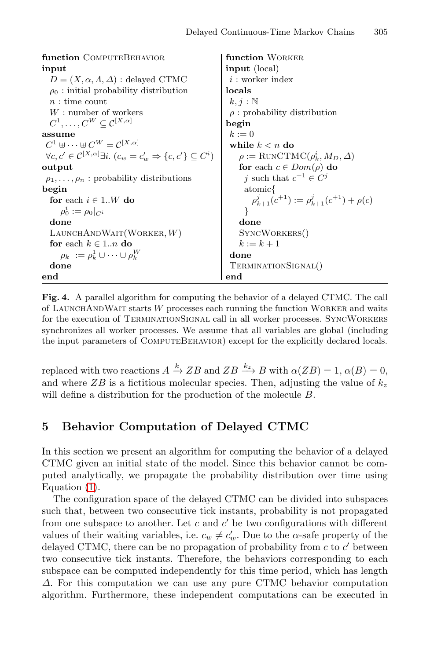```
function COMPUTEBEHAVIOR
input
  D = (X, \alpha, A, \Delta): delayed CTMC
  \rho_0: initial probability distribution
  n: time count
  W : number of workers
  C^1,\ldots,C^W\subseteq \mathcal{C}^{[X,\alpha]}assume
 C^1 \uplus \cdots \uplus C^W = \mathcal{C}^{[X,\alpha]}\forall c, c' \in \mathcal{C}^{[X,\alpha]} \exists i. (c_w = c'_w \Rightarrow \{c,c'\} \subseteq C^i)output
 \rho_1,\ldots,\rho_n: probability distributions
begin
  for each i \in 1..W do
      \rho_0^i := \rho_0|_{C^i}done
  LAUNCHANDWAIT(WORKER, W)for each k \in 1..n do
      \rho_k \; := \rho_k^1 \cup \cdots \cup \rho_k^Wdone
end
                                                          function WORKER
                                                          input (local)
                                                            i: worker index
                                                          locals
                                                            k, j : \mathbb{N}\rho: probability distribution
                                                           begin
                                                            k := 0while k < n do
                                                               \rho := \text{RunCTMC}(\rho_k^i, M_D, \Delta)for each c \in Dom(\rho) do
                                                                j such that c^{+1} \in C^jatomic{
                                                                   \rho^j_{k+1}(c^{+1}) := \rho^j_{k+1}(c^{+1}) + \rho(c)}
                                                               done
                                                               SyncWorkers()
                                                               k := k + 1done
                                                            TerminationSignal()
                                                          end
```
<span id="page-11-0"></span>**Fig. 4.** A parallel algorithm for computing the behavior of a delayed CTMC. The call of LAUNCHANDWAIT starts  $W$  processes each running the function WORKER and waits for the execution of TerminationSignal call in all worker processes. SyncWorkers synchronizes all worker processes. We assume that all variables are global (including the input parameters of ComputeBehavior) except for the explicitly declared locals.

replaced with two reactions  $A \xrightarrow{k} ZB$  and  $ZB \xrightarrow{k_z} B$  with  $\alpha(ZB) = 1, \alpha(B) = 0$ , and where  $ZB$  is a fictitious molecular species. Then, adjusting the value of  $k_z$ will define a distribution for the production of the molecule B.

# **5 Behavior Computation of Delayed CTMC**

In this section we present an algorithm for computing the behavior of a delayed CTMC given an initial state of the model. Since this behavior cannot be computed analytically, we propagate the probability distribution over time using Equation [\(1\)](#page-4-0).

The configuration space of the delayed CTMC can be divided into subspaces such that, between two consecutive tick instants, probability is not propagated from one subspace to another. Let c and  $c'$  be two configurations with different values of their waiting variables, i.e.  $c_w \neq c'_w$ . Due to the  $\alpha$ -safe property of the delayed CTMC, there can be no propagation of probability from  $c$  to  $c'$  between two consecutive tick instants. Therefore, the behaviors corresponding to each subspace can be computed independently for this time period, which has length  $\Delta$ . For this computation we can use any pure CTMC behavior computation algorithm. Furthermore, these independent computations can be executed in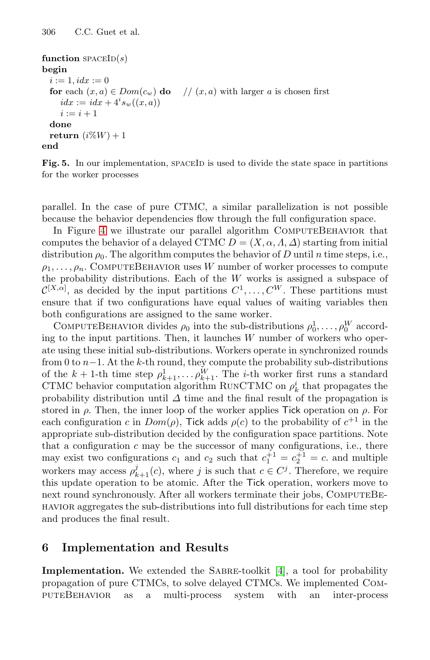```
function spaceID(s)begin
 i := 1, idx := 0for each (x, a) \in Dom(c_w) do // (x, a) with larger a is chosen first
    idx := idx + 4^i s_w((x, a))i := i + 1done
 return (i\%W) + 1end
```
Fig. 5. In our implementation, SPACEID is used to divide the state space in partitions for the worker processes

parallel. In the case of pure CTMC, a similar parallelization is not possible because the behavior dependencies flow through the full configuration space.

In Figure [4](#page-11-0) we illustrate our parallel algorithm COMPUTEBEHAVIOR that computes the behavior of a delayed CTMC  $D = (X, \alpha, \Lambda, \Delta)$  starting from initial distribution  $\rho_0$ . The algorithm computes the behavior of D until n time steps, i.e.,  $\rho_1,\ldots,\rho_n$ . COMPUTEBEHAVIOR uses W number of worker processes to compute the probability distributions. Each of the  $W$  works is assigned a subspace of  $\mathcal{C}^{[X,\alpha]}$ , as decided by the input partitions  $C^1,\ldots,C^W$ . These partitions must ensure that if two configurations have equal values of waiting variables then both configurations are assigned to the same worker.

COMPUTEBEHAVIOR divides  $\rho_0$  into the sub-distributions  $\rho_0^1, \ldots, \rho_0^W$  according to the input partitions. Then, it launches  $W$  number of workers who operate using these initial sub-distributions. Workers operate in synchronized rounds from 0 to  $n-1$ . At the k-th round, they compute the probability sub-distributions of the  $k + 1$ -th time step  $\rho_{k+1}^1, \ldots, \rho_{k+1}^W$ . The *i*-th worker first runs a standard CTMC behavior computation algorithm RUNCTMC on  $\rho_k^i$  that propagates the probability distribution until  $\Delta$  time and the final result of the propagation is stored in  $\rho$ . Then, the inner loop of the worker applies Tick operation on  $\rho$ . For each configuration c in  $Dom(\rho)$ , Tick adds  $\rho(c)$  to the probability of  $c^{+1}$  in the appropriate sub-distribution decided by the configuration space partitions. Note that a configuration  $c$  may be the successor of many configurations, i.e., there may exist two configurations  $c_1$  and  $c_2$  such that  $c_1^{+1} = c_2^{+1} = c$ . and multiple workers may access  $\rho_{k+1}^j(c)$ , where j is such that  $c \in C^j$ . Therefore, we require this update operation to be atomic. After the Tick operation, workers move to next round synchronously. After all workers terminate their jobs, COMPUTEBEhavior aggregates the sub-distributions into full distributions for each time step and produces the final result.

# **6 Implementation and Results**

**Implementation.** We extended the SABRE-toolkit [\[4\]](#page-15-17), a tool for probability propagation of pure CTMCs, to solve delayed CTMCs. We implemented ComputeBehavior as a multi-process system with an inter-process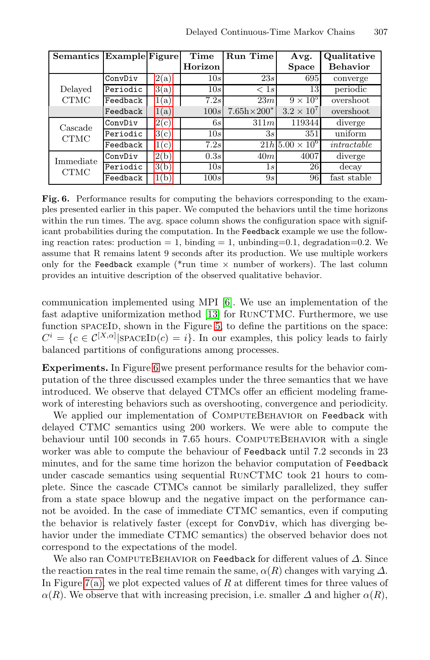<span id="page-13-0"></span>

| Semantics                | <b>Example</b> Figure |      | Time    | Run Time             | Avg.                  | Qualitative     |
|--------------------------|-----------------------|------|---------|----------------------|-----------------------|-----------------|
|                          |                       |      | Horizon |                      | <b>Space</b>          | <b>Behavior</b> |
| Delayed<br><b>CTMC</b>   | ConvDiv               | 2(a) | 10s     | 23s                  | 695                   | converge        |
|                          | Periodic              | 3(a) | 10s     | < 1s                 | 13                    | periodic        |
|                          | Feedback              | 1(a) | 7.2s    | 23m                  | $9 \times 10^5$       | overshoot       |
|                          | Feedback              | 1(a) | 100s    | $7.65h \times 200^*$ | $3.2 \times 10^{7}$   | overshoot       |
| Cascade<br><b>CTMC</b>   | ConvDiv               | 2(c) | 6s      | 311m                 | 119344                | diverge         |
|                          | Periodic              | 3(c) | 10s     | 3s                   | 351                   | uniform         |
|                          | Feedback              | 1(c) | 7.2s    |                      | $21h\,5.00\times10^6$ | intractable     |
| Immediate<br><b>CTMC</b> | ConvDiv               | 2(b) | 0.3s    | 40m                  | 4007                  | diverge         |
|                          | Periodic              | 3(b) | 10s     | 1s                   | 26                    | decay           |
|                          | Feedback              | 1(b) | 100s    | 9s                   | 96                    | fast stable     |

**Fig. 6.** Performance results for computing the behaviors corresponding to the examples presented earlier in this paper. We computed the behaviors until the time horizons within the run times. The avg. space column shows the configuration space with significant probabilities during the computation. In the Feedback example we use the following reaction rates: production  $= 1$ , binding  $= 1$ , unbinding=0.1, degradation=0.2. We assume that R remains latent 9 seconds after its production. We use multiple workers only for the Feedback example (\*run time  $\times$  number of workers). The last column provides an intuitive description of the observed qualitative behavior.

communication implemented using MPI [\[6\]](#page-15-18). We use an implementation of the fast adaptive uniformization method [\[13\]](#page-15-13) for RunCTMC. Furthermore, we use function spaceID, shown in the Figure [5,](#page-12-0) to define the partitions on the space:  $C^i = \{c \in C^{[X,\alpha]} | \text{SPACEID}(c) = i\}.$  In our examples, this policy leads to fairly balanced partitions of configurations among processes.

**Experiments.** In Figure [6](#page-13-0) we present performance results for the behavior computation of the three discussed examples under the three semantics that we have introduced. We observe that delayed CTMCs offer an efficient modeling framework of interesting behaviors such as overshooting, convergence and periodicity.

We applied our implementation of COMPUTEBEHAVIOR on Feedback with delayed CTMC semantics using 200 workers. We were able to compute the behaviour until 100 seconds in 7.65 hours. COMPUTEBEHAVIOR with a single worker was able to compute the behaviour of Feedback until 7.2 seconds in 23 minutes, and for the same time horizon the behavior computation of Feedback under cascade semantics using sequential RunCTMC took 21 hours to complete. Since the cascade CTMCs cannot be similarly parallelized, they suffer from a state space blowup and the negative impact on the performance cannot be avoided. In the case of immediate CTMC semantics, even if computing the behavior is relatively faster (except for ConvDiv, which has diverging behavior under the immediate CTMC semantics) the observed behavior does not correspond to the expectations of the model.

We also ran COMPUTEBEHAVIOR on Feedback for different values of  $\Delta$ . Since the reaction rates in the real time remain the same,  $\alpha(R)$  changes with varying  $\Delta$ . In Figure [7\(a\),](#page-14-2) we plot expected values of R at different times for three values of  $\alpha(R)$ . We observe that with increasing precision, i.e. smaller  $\Delta$  and higher  $\alpha(R)$ ,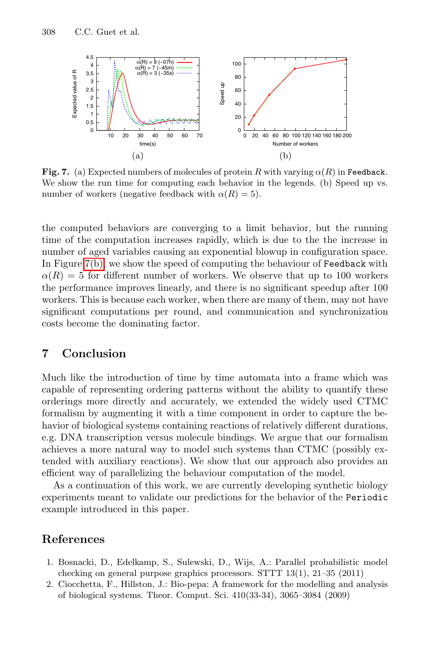<span id="page-14-3"></span><span id="page-14-2"></span>

**Fig. 7.** (a) Expected numbers of molecules of protein R with varying  $\alpha(R)$  in Feedback. We show the run time for computing each behavior in the legends. (b) Speed up vs. number of workers (negative feedback with  $\alpha(R) = 5$ ).

the computed behaviors are converging to a limit behavior, but the running time of the computation increases rapidly, which is due to the the increase in number of aged variables causing an exponential blowup in configuration space. In Figure [7\(b\),](#page-14-3) we show the speed of computing the behaviour of Feedback with  $\alpha(R) = 5$  for different number of workers. We observe that up to 100 workers the performance improves linearly, and there is no significant speedup after 100 workers. This is because each worker, when there are many of them, may not have significant computations per round, and communication and synchronization costs become the dominating factor.

## **7 Conclusion**

Much like the introduction of time by time automata into a frame which was capable of representing ordering patterns without the ability to quantify these orderings more directly and accurately, we extended the widely used CTMC formalism by augmenting it with a time component in order to capture the behavior of biological systems containing reactions of relatively different durations, e.g. DNA transcription versus molecule bindings. We argue that our formalism achieves a more natural way to model such systems than CTMC (possibly extended with auxiliary reactions). We show that our approach also provides an efficient way of parallelizing the behaviour computation of the model.

<span id="page-14-1"></span><span id="page-14-0"></span>As a continuation of this work, we are currently developing synthetic biology experiments meant to validate our predictions for the behavior of the Periodic example introduced in this paper.

### **References**

- 1. Bosnacki, D., Edelkamp, S., Sulewski, D., Wijs, A.: Parallel probabilistic model checking on general purpose graphics processors. STTT 13(1), 21–35 (2011)
- 2. Ciocchetta, F., Hillston, J.: Bio-pepa: A framework for the modelling and analysis of biological systems. Theor. Comput. Sci. 410(33-34), 3065–3084 (2009)